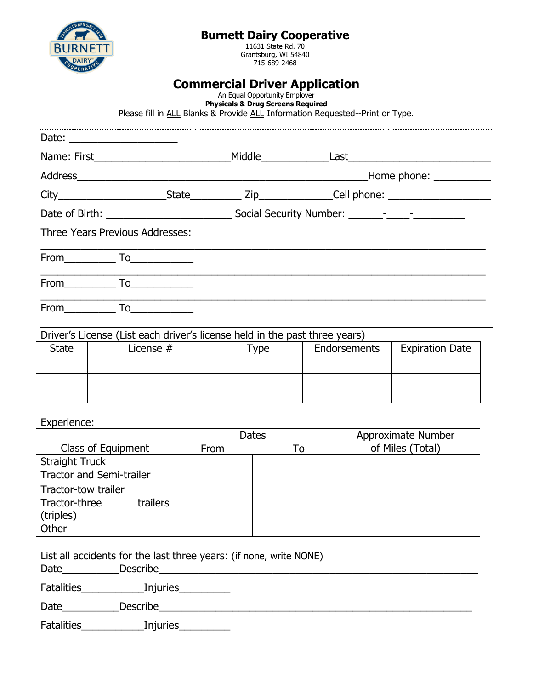

## **Burnett Dairy Cooperative**

11631 State Rd. 70 Grantsburg, WI 54840 715-689-2468

|                                                                             | <b>Commercial Driver Application</b><br>An Equal Opportunity Employer<br><b>Physicals &amp; Drug Screens Required</b> | Please fill in ALL Blanks & Provide ALL Information Requested--Print or Type. |  |
|-----------------------------------------------------------------------------|-----------------------------------------------------------------------------------------------------------------------|-------------------------------------------------------------------------------|--|
| Date: _______________________                                               |                                                                                                                       |                                                                               |  |
|                                                                             |                                                                                                                       |                                                                               |  |
|                                                                             |                                                                                                                       |                                                                               |  |
|                                                                             |                                                                                                                       |                                                                               |  |
|                                                                             |                                                                                                                       |                                                                               |  |
| Three Years Previous Addresses:                                             |                                                                                                                       |                                                                               |  |
| From $\qquad \qquad$ To $\qquad \qquad$ To $\qquad \qquad$                  |                                                                                                                       |                                                                               |  |
| From $\qquad \qquad$ To _________                                           |                                                                                                                       |                                                                               |  |
| From $\begin{array}{c} \begin{array}{c} \text{T}_0 \end{array} \end{array}$ |                                                                                                                       |                                                                               |  |

| Driver's License (List each driver's license held in the past three years) |           |      |                     |                        |  |  |
|----------------------------------------------------------------------------|-----------|------|---------------------|------------------------|--|--|
| State                                                                      | License # | Type | <b>Endorsements</b> | <b>Expiration Date</b> |  |  |
|                                                                            |           |      |                     |                        |  |  |
|                                                                            |           |      |                     |                        |  |  |
|                                                                            |           |      |                     |                        |  |  |

Experience:

|                                        |      | <b>Dates</b> | Approximate Number |
|----------------------------------------|------|--------------|--------------------|
| Class of Equipment                     | From | To           | of Miles (Total)   |
| <b>Straight Truck</b>                  |      |              |                    |
| <b>Tractor and Semi-trailer</b>        |      |              |                    |
| Tractor-tow trailer                    |      |              |                    |
| Tractor-three<br>trailers<br>(triples) |      |              |                    |
| Other                                  |      |              |                    |

List all accidents for the last three years: (if none, write NONE)

Date\_\_\_\_\_\_\_\_\_\_Describe\_\_\_\_\_\_\_\_\_\_\_\_\_\_\_\_\_\_\_\_\_\_\_\_\_\_\_\_\_\_\_\_\_\_\_\_\_\_\_\_\_\_\_\_\_\_\_\_\_\_\_\_\_\_\_\_

Fatalities\_\_\_\_\_\_\_\_\_\_\_Injuries\_\_\_\_\_\_\_\_\_

Date\_\_\_\_\_\_\_\_\_\_Describe\_\_\_\_\_\_\_\_\_\_\_\_\_\_\_\_\_\_\_\_\_\_\_\_\_\_\_\_\_\_\_\_\_\_\_\_\_\_\_\_\_\_\_\_\_\_\_\_\_\_\_\_\_\_\_

Fatalities\_\_\_\_\_\_\_\_\_\_\_\_\_\_\_\_\_Injuries\_\_\_\_\_\_\_\_\_\_\_\_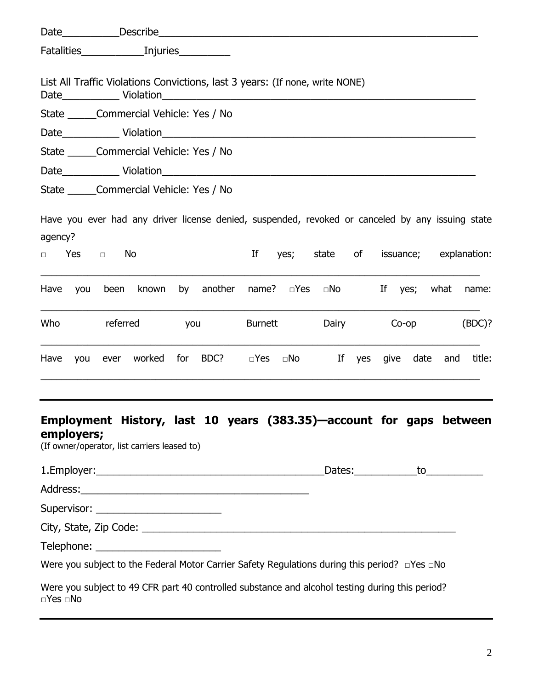| List All Traffic Violations Convictions, last 3 years: (If none, write NONE)                                                      |              |        |     |                           |    |                      |                                 |              |      |              |     |        |
|-----------------------------------------------------------------------------------------------------------------------------------|--------------|--------|-----|---------------------------|----|----------------------|---------------------------------|--------------|------|--------------|-----|--------|
| State Commercial Vehicle: Yes / No                                                                                                |              |        |     |                           |    |                      |                                 |              |      |              |     |        |
|                                                                                                                                   |              |        |     |                           |    |                      |                                 |              |      |              |     |        |
| State Commercial Vehicle: Yes / No                                                                                                |              |        |     |                           |    |                      |                                 |              |      |              |     |        |
|                                                                                                                                   |              |        |     |                           |    |                      |                                 |              |      |              |     |        |
| State Commercial Vehicle: Yes / No                                                                                                |              |        |     |                           |    |                      |                                 |              |      |              |     |        |
| Have you ever had any driver license denied, suspended, revoked or canceled by any issuing state<br>agency?                       |              |        |     |                           |    |                      |                                 |              |      |              |     |        |
| Yes<br>$\Box$                                                                                                                     | No<br>$\Box$ |        |     |                           | If | yes;                 | state of issuance; explanation: |              |      |              |     |        |
| Have<br>you                                                                                                                       | been         | known  | by  | another name? <b>DYes</b> |    |                      | $\square$ No                    |              |      | If yes; what |     | name:  |
| Who                                                                                                                               | referred     |        | you |                           |    | <b>Burnett</b>       |                                 | <b>Dairy</b> |      | Co-op        |     | (BDC)? |
| Have<br>you                                                                                                                       | ever         | worked |     | for BDC?                  |    | $\Box$ Yes $\Box$ No | If                              | yes          | give | date         | and | title: |
| Employment History, last 10 years (383.35)—account for gaps between<br>employers;<br>(If owner/operator, list carriers leased to) |              |        |     |                           |    |                      |                                 |              |      |              |     |        |
|                                                                                                                                   |              |        |     |                           |    |                      |                                 |              |      |              |     |        |
|                                                                                                                                   |              |        |     |                           |    |                      |                                 |              |      |              |     |        |
|                                                                                                                                   |              |        |     |                           |    |                      |                                 |              |      |              |     |        |
|                                                                                                                                   |              |        |     |                           |    |                      |                                 |              |      |              |     |        |
|                                                                                                                                   |              |        |     |                           |    |                      |                                 |              |      |              |     |        |
| Were you subject to the Federal Motor Carrier Safety Regulations during this period?  □ Yes □ No                                  |              |        |     |                           |    |                      |                                 |              |      |              |     |        |
| Were you subject to 49 CFR part 40 controlled substance and alcohol testing during this period?<br>$\Box$ Yes $\Box$ No           |              |        |     |                           |    |                      |                                 |              |      |              |     |        |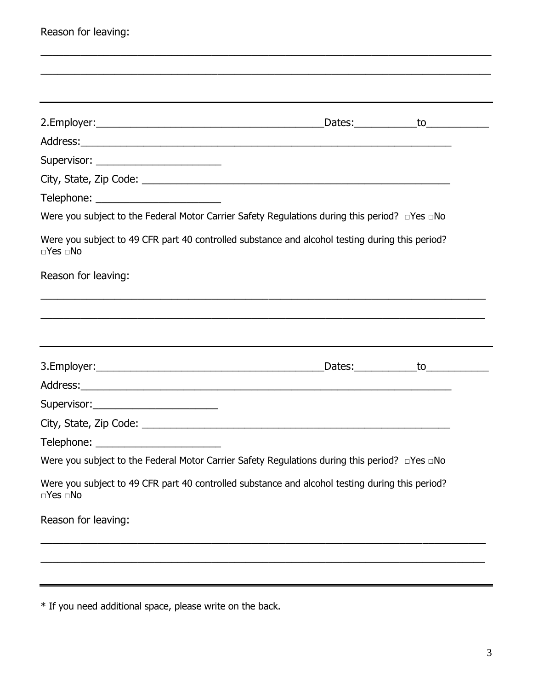| Reason for leaving:                                                                                                                                               |                                     |               |
|-------------------------------------------------------------------------------------------------------------------------------------------------------------------|-------------------------------------|---------------|
|                                                                                                                                                                   |                                     |               |
|                                                                                                                                                                   |                                     |               |
|                                                                                                                                                                   |                                     |               |
|                                                                                                                                                                   | _Dates:______________to____________ |               |
|                                                                                                                                                                   |                                     |               |
|                                                                                                                                                                   |                                     |               |
|                                                                                                                                                                   |                                     |               |
|                                                                                                                                                                   |                                     |               |
| Were you subject to the Federal Motor Carrier Safety Regulations during this period? $\Box$ Yes $\Box$ No                                                         |                                     |               |
| Were you subject to 49 CFR part 40 controlled substance and alcohol testing during this period?<br>$\Box$ Yes $\Box$ No                                           |                                     |               |
| Reason for leaving:                                                                                                                                               |                                     |               |
|                                                                                                                                                                   |                                     |               |
|                                                                                                                                                                   |                                     |               |
|                                                                                                                                                                   |                                     |               |
|                                                                                                                                                                   | $_{\rm Dates:$                      | $\mathsf{to}$ |
|                                                                                                                                                                   |                                     |               |
| Supervisor: ____________________________                                                                                                                          |                                     |               |
|                                                                                                                                                                   |                                     |               |
|                                                                                                                                                                   |                                     |               |
|                                                                                                                                                                   |                                     |               |
|                                                                                                                                                                   |                                     |               |
| $\Box$ Yes $\Box$ No                                                                                                                                              |                                     |               |
| Telephone: ____________________________<br>Were you subject to 49 CFR part 40 controlled substance and alcohol testing during this period?<br>Reason for leaving: |                                     |               |

\* If you need additional space, please write on the back.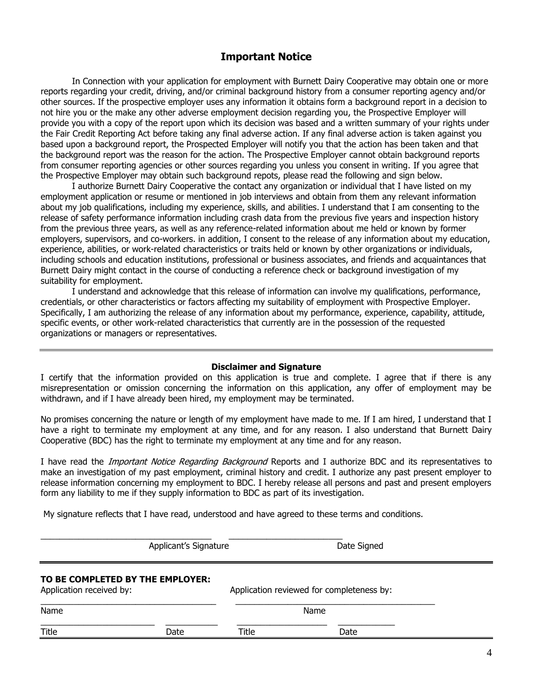### **Important Notice**

In Connection with your application for employment with Burnett Dairy Cooperative may obtain one or more reports regarding your credit, driving, and/or criminal background history from a consumer reporting agency and/or other sources. If the prospective employer uses any information it obtains form a background report in a decision to not hire you or the make any other adverse employment decision regarding you, the Prospective Employer will provide you with a copy of the report upon which its decision was based and a written summary of your rights under the Fair Credit Reporting Act before taking any final adverse action. If any final adverse action is taken against you based upon a background report, the Prospected Employer will notify you that the action has been taken and that the background report was the reason for the action. The Prospective Employer cannot obtain background reports from consumer reporting agencies or other sources regarding you unless you consent in writing. If you agree that the Prospective Employer may obtain such background repots, please read the following and sign below.

I authorize Burnett Dairy Cooperative the contact any organization or individual that I have listed on my employment application or resume or mentioned in job interviews and obtain from them any relevant information about my job qualifications, including my experience, skills, and abilities. I understand that I am consenting to the release of safety performance information including crash data from the previous five years and inspection history from the previous three years, as well as any reference-related information about me held or known by former employers, supervisors, and co-workers. in addition, I consent to the release of any information about my education, experience, abilities, or work-related characteristics or traits held or known by other organizations or individuals, including schools and education institutions, professional or business associates, and friends and acquaintances that Burnett Dairy might contact in the course of conducting a reference check or background investigation of my suitability for employment.

I understand and acknowledge that this release of information can involve my qualifications, performance, credentials, or other characteristics or factors affecting my suitability of employment with Prospective Employer. Specifically, I am authorizing the release of any information about my performance, experience, capability, attitude, specific events, or other work-related characteristics that currently are in the possession of the requested organizations or managers or representatives.

#### **Disclaimer and Signature**

I certify that the information provided on this application is true and complete. I agree that if there is any misrepresentation or omission concerning the information on this application, any offer of employment may be withdrawn, and if I have already been hired, my employment may be terminated.

No promises concerning the nature or length of my employment have made to me. If I am hired, I understand that I have a right to terminate my employment at any time, and for any reason. I also understand that Burnett Dairy Cooperative (BDC) has the right to terminate my employment at any time and for any reason.

I have read the *Important Notice Regarding Background* Reports and I authorize BDC and its representatives to make an investigation of my past employment, criminal history and credit. I authorize any past present employer to release information concerning my employment to BDC. I hereby release all persons and past and present employers form any liability to me if they supply information to BDC as part of its investigation.

My signature reflects that I have read, understood and have agreed to these terms and conditions.

\_\_\_\_\_\_\_\_\_\_\_\_\_\_\_\_\_\_\_\_\_\_\_\_\_\_\_\_\_\_\_\_\_\_\_\_ \_\_\_\_\_\_\_\_\_\_\_\_\_\_\_\_\_\_\_\_\_\_\_\_ Applicant's Signature **Date Signed** 

#### **TO BE COMPLETED BY THE EMPLOYER:**

| Application received by: |      | Application reviewed for completeness by: |      |
|--------------------------|------|-------------------------------------------|------|
| Name                     |      | Name                                      |      |
| Title                    | Date | Title                                     | Date |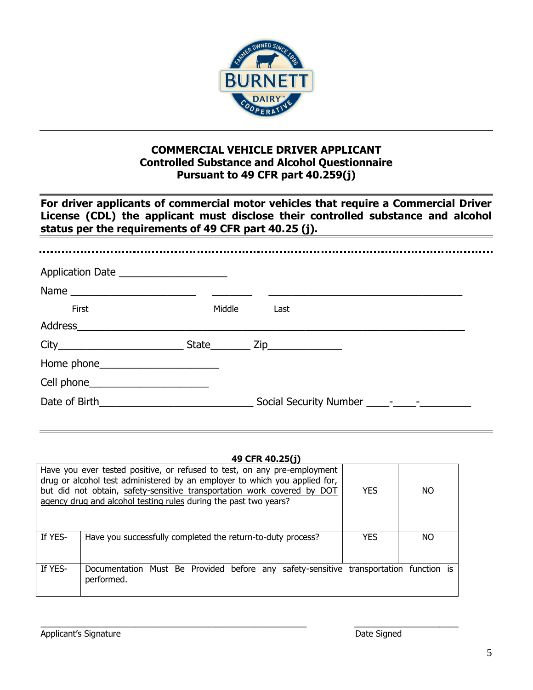

## **COMMERCIAL VEHICLE DRIVER APPLICANT Controlled Substance and Alcohol Questionnaire Pursuant to 49 CFR part 40.259(j)**

**For driver applicants of commercial motor vehicles that require a Commercial Driver License (CDL) the applicant must disclose their controlled substance and alcohol status per the requirements of 49 CFR part 40.25 (j).**

| Application Date ______________________ |        |                                       |
|-----------------------------------------|--------|---------------------------------------|
|                                         |        |                                       |
| First                                   | Middle | Last                                  |
|                                         |        |                                       |
|                                         |        | $S$ tate $\frac{Zip_{\text{max}}}{p}$ |
| Home phone_________________________     |        |                                       |
| Cell phone_________________________     |        |                                       |
|                                         |        |                                       |

### **49 CFR 40.25(j)**

|         | Have you ever tested positive, or refused to test, on any pre-employment<br>drug or alcohol test administered by an employer to which you applied for,<br>but did not obtain, safety-sensitive transportation work covered by DOT<br>agency drug and alcohol testing rules during the past two years? | <b>YES</b> | NΟ  |  |
|---------|-------------------------------------------------------------------------------------------------------------------------------------------------------------------------------------------------------------------------------------------------------------------------------------------------------|------------|-----|--|
| If YES- | Have you successfully completed the return-to-duty process?                                                                                                                                                                                                                                           | <b>YES</b> | NO. |  |
|         |                                                                                                                                                                                                                                                                                                       |            |     |  |
| If YES- | Documentation Must Be Provided before any safety-sensitive transportation function is<br>performed.                                                                                                                                                                                                   |            |     |  |

 $\_$  , and the set of the set of the set of the set of the set of the set of the set of the set of the set of the set of the set of the set of the set of the set of the set of the set of the set of the set of the set of th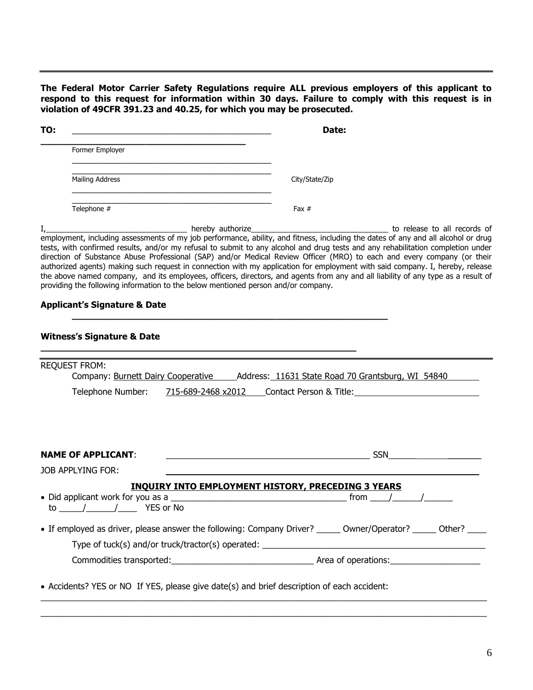**The Federal Motor Carrier Safety Regulations require ALL previous employers of this applicant to respond to this request for information within 30 days. Failure to comply with this request is in violation of 49CFR 391.23 and 40.25, for which you may be prosecuted.**

| TO: |                        | Date:          |
|-----|------------------------|----------------|
|     | Former Employer        |                |
|     | <b>Mailing Address</b> | City/State/Zip |
|     | Telephone #            | Fax $#$        |

I,\_\_\_\_\_\_\_\_\_\_\_\_\_\_\_\_\_\_\_\_\_\_\_\_\_\_\_\_\_\_\_\_\_ hereby authorize\_\_\_\_\_\_\_\_\_\_\_\_\_\_\_\_\_\_\_\_\_\_\_\_\_\_\_\_\_\_\_\_ to release to all records of employment, including assessments of my job performance, ability, and fitness, including the dates of any and all alcohol or drug tests, with confirmed results, and/or my refusal to submit to any alcohol and drug tests and any rehabilitation completion under direction of Substance Abuse Professional (SAP) and/or Medical Review Officer (MRO) to each and every company (or their authorized agents) making such request in connection with my application for employment with said company. I, hereby, release the above named company, and its employees, officers, directors, and agents from any and all liability of any type as a result of providing the following information to the below mentioned person and/or company.

**\_\_\_\_\_\_\_\_\_\_\_\_\_\_\_\_\_\_\_\_\_\_\_\_\_\_\_\_\_\_\_\_\_\_\_\_\_\_\_\_\_\_\_\_\_\_\_\_\_\_\_\_\_\_\_\_\_**

**\_\_\_\_\_\_\_\_\_\_\_\_\_\_\_\_\_\_\_\_\_\_\_\_\_\_\_\_\_\_\_\_\_\_\_\_\_\_\_\_\_\_\_\_\_\_\_\_\_\_\_\_\_\_\_\_\_**

#### **Applicant's Signature & Date**

#### **Witness's Signature & Date**

| Company: Burnett Dairy Cooperative ______________Address: 11631 State Road 70 Grantsburg, WI 54840<br>Telephone Number: 715-689-2468 x2012 Contact Person & Title: Contact Person & Title:                                           |
|--------------------------------------------------------------------------------------------------------------------------------------------------------------------------------------------------------------------------------------|
|                                                                                                                                                                                                                                      |
|                                                                                                                                                                                                                                      |
|                                                                                                                                                                                                                                      |
|                                                                                                                                                                                                                                      |
|                                                                                                                                                                                                                                      |
| <u>SSN STERN STERN STERN STERN STERN STERN STERN STERN STERN STERN STERN STERN STERN STERN STERN STERN STERN STERN STERN STERN STERN STERN STERN STERN STERN STERN STERN STERN STERN STERN STERN STERN STERN STERN STERN STERN S</u> |
|                                                                                                                                                                                                                                      |
|                                                                                                                                                                                                                                      |
|                                                                                                                                                                                                                                      |
|                                                                                                                                                                                                                                      |
| • If employed as driver, please answer the following: Company Driver? _______ Owner/Operator? ______ Other? ____                                                                                                                     |
|                                                                                                                                                                                                                                      |
|                                                                                                                                                                                                                                      |
|                                                                                                                                                                                                                                      |

 $\_$  ,  $\_$  ,  $\_$  ,  $\_$  ,  $\_$  ,  $\_$  ,  $\_$  ,  $\_$  ,  $\_$  ,  $\_$  ,  $\_$  ,  $\_$  ,  $\_$  ,  $\_$  ,  $\_$  ,  $\_$  ,  $\_$  ,  $\_$  ,  $\_$  ,  $\_$  ,  $\_$  ,  $\_$  ,  $\_$  ,  $\_$  ,  $\_$  ,  $\_$  ,  $\_$  ,  $\_$  ,  $\_$  ,  $\_$  ,  $\_$  ,  $\_$  ,  $\_$  ,  $\_$  ,  $\_$  ,  $\_$  ,  $\_$  ,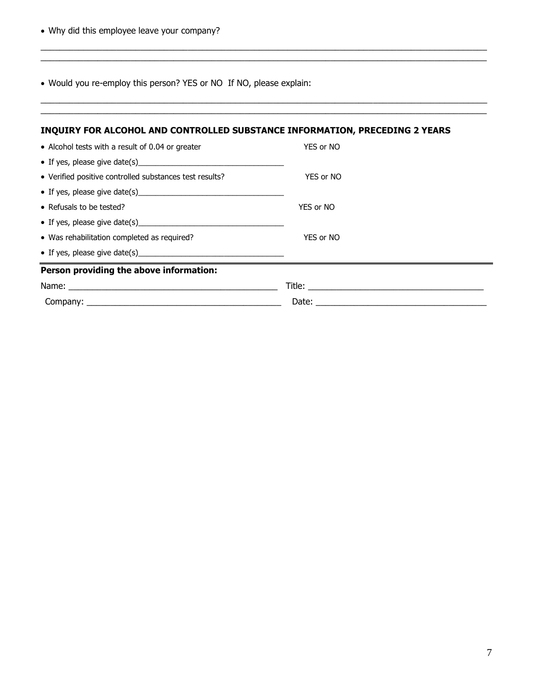Why did this employee leave your company?

Would you re-employ this person? YES or NO If NO, please explain:

 $\overline{\phantom{a}}$  , and the contract of the contract of the contract of the contract of the contract of the contract of the contract of the contract of the contract of the contract of the contract of the contract of the contrac

| INQUIRY FOR ALCOHOL AND CONTROLLED SUBSTANCE INFORMATION, PRECEDING 2 YEARS                                    |           |
|----------------------------------------------------------------------------------------------------------------|-----------|
| • Alcohol tests with a result of 0.04 or greater                                                               | YES or NO |
|                                                                                                                |           |
| • Verified positive controlled substances test results?                                                        | YES or NO |
|                                                                                                                |           |
| • Refusals to be tested?                                                                                       | YES or NO |
|                                                                                                                |           |
| • Was rehabilitation completed as required?                                                                    | YES or NO |
|                                                                                                                |           |
| Person providing the above information:                                                                        |           |
| Name: 2008. 2008. 2010. 2010. 2010. 2010. 2010. 2010. 2010. 2010. 2010. 2010. 2010. 2010. 2010. 2010. 2010. 20 |           |
|                                                                                                                |           |

 $\_$  ,  $\_$  ,  $\_$  ,  $\_$  ,  $\_$  ,  $\_$  ,  $\_$  ,  $\_$  ,  $\_$  ,  $\_$  ,  $\_$  ,  $\_$  ,  $\_$  ,  $\_$  ,  $\_$  ,  $\_$  ,  $\_$  ,  $\_$  ,  $\_$  ,  $\_$  ,  $\_$  ,  $\_$  ,  $\_$  ,  $\_$  ,  $\_$  ,  $\_$  ,  $\_$  ,  $\_$  ,  $\_$  ,  $\_$  ,  $\_$  ,  $\_$  ,  $\_$  ,  $\_$  ,  $\_$  ,  $\_$  ,  $\_$  ,

 $\_$  ,  $\_$  ,  $\_$  ,  $\_$  ,  $\_$  ,  $\_$  ,  $\_$  ,  $\_$  ,  $\_$  ,  $\_$  ,  $\_$  ,  $\_$  ,  $\_$  ,  $\_$  ,  $\_$  ,  $\_$  ,  $\_$  ,  $\_$  ,  $\_$  ,  $\_$  ,  $\_$  ,  $\_$  ,  $\_$  ,  $\_$  ,  $\_$  ,  $\_$  ,  $\_$  ,  $\_$  ,  $\_$  ,  $\_$  ,  $\_$  ,  $\_$  ,  $\_$  ,  $\_$  ,  $\_$  ,  $\_$  ,  $\_$  ,

\_\_\_\_\_\_\_\_\_\_\_\_\_\_\_\_\_\_\_\_\_\_\_\_\_\_\_\_\_\_\_\_\_\_\_\_\_\_\_\_\_\_\_\_\_\_\_\_\_\_\_\_\_\_\_\_\_\_\_\_\_\_\_\_\_\_\_\_\_\_\_\_\_\_\_\_\_\_\_\_\_\_\_\_\_\_\_\_\_\_\_\_\_\_